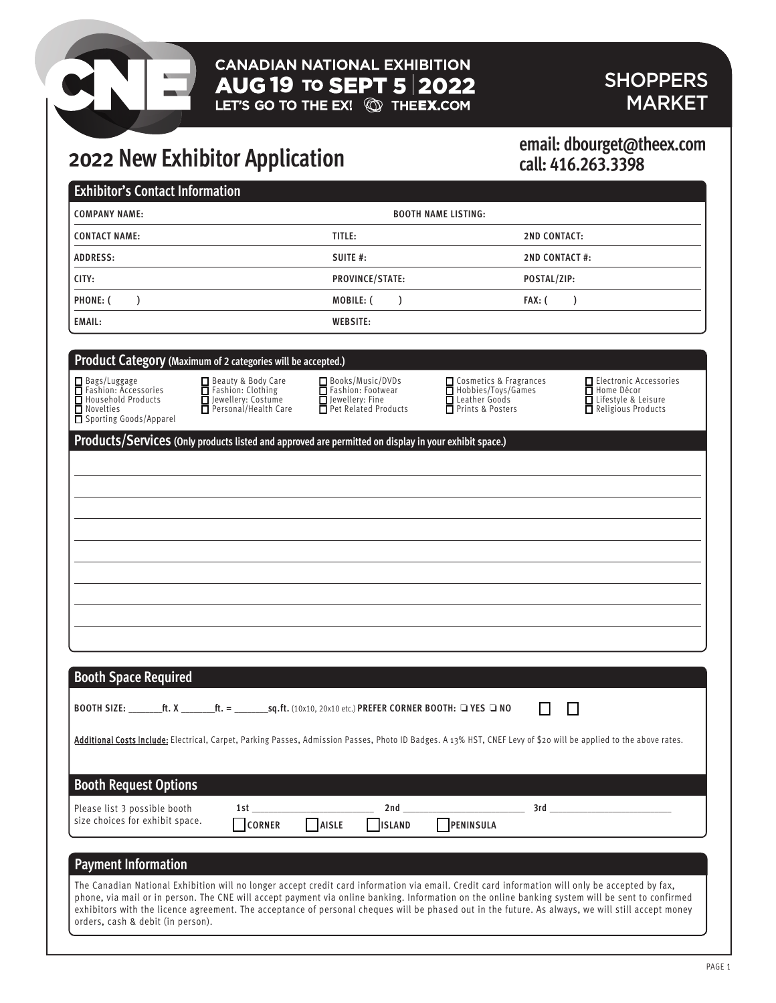# **CANADIAN NATIONAL EXHIBITION AUG 19 TO SEPT 5 2022** SHOPPERS<br>LET'S GO TO THE EX! © THEEX.COM MARKET

# **MARKET**

# **2022 New Exhibitor Application**

# **call: 416.263.3398**

| <b>COMPANY NAME:</b><br><b>BOOTH NAME LISTING:</b>                                                                         |                                                                                                         |                                                                                                       |                                                                                                                                                                   |                                                                                            |  |
|----------------------------------------------------------------------------------------------------------------------------|---------------------------------------------------------------------------------------------------------|-------------------------------------------------------------------------------------------------------|-------------------------------------------------------------------------------------------------------------------------------------------------------------------|--------------------------------------------------------------------------------------------|--|
| <b>CONTACT NAME:</b>                                                                                                       |                                                                                                         | TITLE:                                                                                                |                                                                                                                                                                   | <b>2ND CONTACT:</b>                                                                        |  |
| <b>ADDRESS:</b>                                                                                                            |                                                                                                         | SUITE #:                                                                                              |                                                                                                                                                                   | <b>2ND CONTACT#:</b>                                                                       |  |
| CITY:                                                                                                                      |                                                                                                         | PROVINCE/STATE:                                                                                       |                                                                                                                                                                   | POSTAL/ZIP:                                                                                |  |
| <b>PHONE: (</b><br>$\mathcal{L}$                                                                                           |                                                                                                         | MOBILE: (<br>$\lambda$                                                                                | FAX: (                                                                                                                                                            | $\mathcal{L}$                                                                              |  |
| <b>EMAIL:</b>                                                                                                              |                                                                                                         | <b>WEBSITE:</b>                                                                                       |                                                                                                                                                                   |                                                                                            |  |
|                                                                                                                            |                                                                                                         |                                                                                                       |                                                                                                                                                                   |                                                                                            |  |
| Product Category (Maximum of 2 categories will be accepted.)                                                               |                                                                                                         |                                                                                                       |                                                                                                                                                                   |                                                                                            |  |
| $\Box$ Bags/Luggage<br>Fashion: Accessories<br><b>□</b> Household Products<br><b>□</b> Novelties<br>Sporting Goods/Apparel | Beauty & Body Care<br>$\overline{\Box}$ Fashion: Clothing<br>Jewellery: Costume<br>Personal/Health Care | Books/Music/DVDs<br>Fashion: Footwear<br>□ Jewellery: Fine<br>□ Pet Related Products                  | □ Cosmetics & Fragrances<br>□ Hobbies/Toys/Games<br>Leather Goods<br>Prints & Posters                                                                             | Electronic Accessories<br><b>□</b> Home Décor<br>Lifestyle & Leisure<br>Religious Products |  |
|                                                                                                                            |                                                                                                         | Products/Services (Only products listed and approved are permitted on display in your exhibit space.) |                                                                                                                                                                   |                                                                                            |  |
|                                                                                                                            |                                                                                                         |                                                                                                       |                                                                                                                                                                   |                                                                                            |  |
|                                                                                                                            |                                                                                                         |                                                                                                       |                                                                                                                                                                   |                                                                                            |  |
|                                                                                                                            |                                                                                                         |                                                                                                       |                                                                                                                                                                   |                                                                                            |  |
|                                                                                                                            |                                                                                                         |                                                                                                       |                                                                                                                                                                   |                                                                                            |  |
|                                                                                                                            |                                                                                                         |                                                                                                       |                                                                                                                                                                   |                                                                                            |  |
|                                                                                                                            |                                                                                                         |                                                                                                       |                                                                                                                                                                   |                                                                                            |  |
|                                                                                                                            |                                                                                                         |                                                                                                       |                                                                                                                                                                   |                                                                                            |  |
|                                                                                                                            |                                                                                                         |                                                                                                       |                                                                                                                                                                   |                                                                                            |  |
|                                                                                                                            |                                                                                                         |                                                                                                       |                                                                                                                                                                   |                                                                                            |  |
|                                                                                                                            |                                                                                                         |                                                                                                       |                                                                                                                                                                   |                                                                                            |  |
| <b>Booth Space Required</b>                                                                                                |                                                                                                         |                                                                                                       |                                                                                                                                                                   |                                                                                            |  |
|                                                                                                                            |                                                                                                         |                                                                                                       |                                                                                                                                                                   |                                                                                            |  |
|                                                                                                                            |                                                                                                         |                                                                                                       | H                                                                                                                                                                 |                                                                                            |  |
|                                                                                                                            |                                                                                                         |                                                                                                       | Additional Costs Include: Electrical, Carpet, Parking Passes, Admission Passes, Photo ID Badges. A 13% HST, CNEF Levy of \$20 will be applied to the above rates. |                                                                                            |  |
|                                                                                                                            |                                                                                                         |                                                                                                       |                                                                                                                                                                   |                                                                                            |  |
| <b>Booth Request Options</b>                                                                                               |                                                                                                         |                                                                                                       |                                                                                                                                                                   |                                                                                            |  |
| Please list 3 possible booth<br>size choices for exhibit space.                                                            | 1st                                                                                                     | 2nd                                                                                                   | 3rd                                                                                                                                                               |                                                                                            |  |
|                                                                                                                            | <b>CORNER</b>                                                                                           | AISLE<br><b>ISLAND</b>                                                                                | PENINSULA                                                                                                                                                         |                                                                                            |  |
|                                                                                                                            |                                                                                                         |                                                                                                       |                                                                                                                                                                   |                                                                                            |  |
| <b>Payment Information</b>                                                                                                 |                                                                                                         |                                                                                                       |                                                                                                                                                                   |                                                                                            |  |
|                                                                                                                            |                                                                                                         |                                                                                                       | The Canadian National Exhibition will no longer accept credit card information via email. Credit card information will only be accepted by fax,                   |                                                                                            |  |
|                                                                                                                            |                                                                                                         |                                                                                                       | phone, via mail or in person. The CNE will accept payment via online banking. Information on the online banking system will be sent to confirmed                  |                                                                                            |  |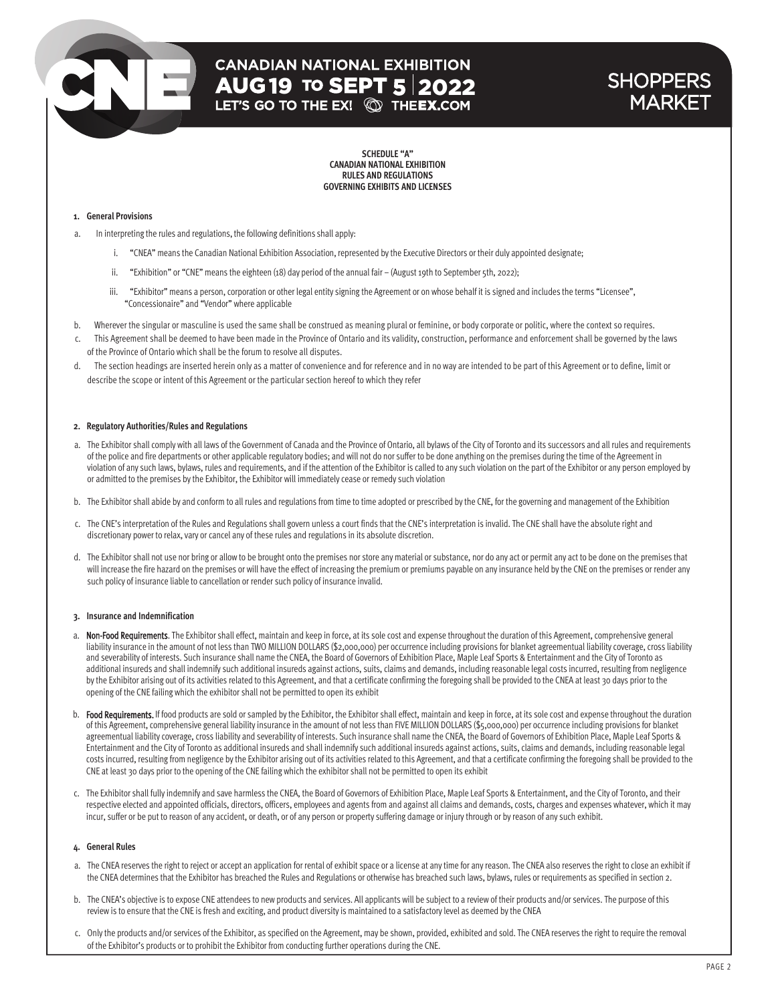# **CANADIAN NATIONAL EXHIBITION AUG 19 TO SEPT 5 2022**<br>LET'S GO TO THE EX! © THE**EX.**COM

### **SHOPPERS** MARKET

**SCHEDULE "A" CANADIAN NATIONAL EXHIBITION RULES AND REGULATIONS GOVERNING EXHIBITS AND LICENSES**

#### **1. General Provisions**

- a. In interpreting the rules and regulations, the following definitions shall apply:
	- i. "CNEA" means the Canadian National Exhibition Association, represented by the Executive Directors or their duly appointed designate;
	- ii. "Exhibition" or "CNE" means the eighteen (18) day period of the annual fair (August 19th to September 5th, 2022);
	- iii. "Exhibitor" means a person, corporation or other legal entity signing the Agreement or on whose behalf it is signed and includes the terms "Licensee", "Concessionaire" and "Vendor" where applicable
- b. Wherever the singular or masculine is used the same shall be construed as meaning plural or feminine, or body corporate or politic, where the context so requires.
- This Agreement shall be deemed to have been made in the Province of Ontario and its validity, construction, performance and enforcement shall be governed by the laws of the Province of Ontario which shall be the forum to resolve all disputes.
- d. The section headings are inserted herein only as a matter of convenience and for reference and in no way are intended to be part of this Agreement or to define, limit or describe the scope or intent of this Agreement or the particular section hereof to which they refer

#### **2. Regulatory Authorities/Rules and Regulations**

- a. The Exhibitor shall comply with all laws of the Government of Canada and the Province of Ontario, all bylaws of the City of Toronto and its successors and all rules and requirements of the police and fire departments or other applicable regulatory bodies; and will not do nor suffer to be done anything on the premises during the time of the Agreement in violation of any such laws, bylaws, rules and requirements, and if the attention of the Exhibitor is called to any such violation on the part of the Exhibitor or any person employed by or admitted to the premises by the Exhibitor, the Exhibitor will immediately cease or remedy such violation
- b. The Exhibitor shall abide by and conform to all rules and regulations from time to time adopted or prescribed by the CNE, for the governing and management of the Exhibition
- c. The CNE's interpretation of the Rules and Regulations shall govern unless a court finds that the CNE's interpretation is invalid. The CNE shall have the absolute right and discretionary power to relax, vary or cancel any of these rules and regulations in its absolute discretion.
- d. The Exhibitor shall not use nor bring or allow to be brought onto the premises nor store any material or substance, nor do any act or permit any act to be done on the premises that will increase the fire hazard on the premises or will have the effect of increasing the premium or premiums payable on any insurance held by the CNE on the premises or render any such policy of insurance liable to cancellation or render such policy of insurance invalid.

#### **3. Insurance and Indemnification**

- a. Non-Food Requirements. The Exhibitor shall effect, maintain and keep in force, at its sole cost and expense throughout the duration of this Agreement, comprehensive general liability insurance in the amount of not less than TWO MILLION DOLLARS (\$2,000,000) per occurrence including provisions for blanket agreementual liability coverage, cross liability and severability of interests. Such insurance shall name the CNEA, the Board of Governors of Exhibition Place, Maple Leaf Sports & Entertainment and the City of Toronto as additional insureds and shall indemnify such additional insureds against actions, suits, claims and demands, including reasonable legal costs incurred, resulting from negligence by the Exhibitor arising out of its activities related to this Agreement, and that a certificate confirming the foregoing shall be provided to the CNEA at least 30 days prior to the opening of the CNE failing which the exhibitor shall not be permitted to open its exhibit
- b. Food Requirements. If food products are sold or sampled by the Exhibitor, the Exhibitor shall effect, maintain and keep in force, at its sole cost and expense throughout the duration of this Agreement, comprehensive general liability insurance in the amount of not less than FIVE MILLION DOLLARS (\$5,000,000) per occurrence including provisions for blanket agreementual liability coverage, cross liability and severability of interests. Such insurance shall name the CNEA, the Board of Governors of Exhibition Place, Maple Leaf Sports & Entertainment and the City of Toronto as additional insureds and shall indemnify such additional insureds against actions, suits, claims and demands, including reasonable legal costs incurred, resulting from negligence by the Exhibitor arising out of its activities related to this Agreement, and that a certificate confirming the foregoing shall be provided to the CNE at least 30 days prior to the opening of the CNE failing which the exhibitor shall not be permitted to open its exhibit
- c. The Exhibitor shall fully indemnify and save harmless the CNEA, the Board of Governors of Exhibition Place, Maple Leaf Sports & Entertainment, and the City of Toronto, and their respective elected and appointed officials, directors, officers, employees and agents from and against all claims and demands, costs, charges and expenses whatever, which it may incur, suffer or be put to reason of any accident, or death, or of any person or property suffering damage or injury through or by reason of any such exhibit.

#### **4. General Rules**

- a. The CNEA reserves the right to reject or accept an application for rental of exhibit space or a license at any time for any reason. The CNEA also reserves the right to close an exhibit if the CNEA determines that the Exhibitor has breached the Rules and Regulations or otherwise has breached such laws, bylaws, rules or requirements as specified in section 2.
- b. The CNEA's objective is to expose CNE attendees to new products and services. All applicants will be subject to a review of their products and/or services. The purpose of this review is to ensure that the CNE is fresh and exciting, and product diversity is maintained to a satisfactory level as deemed by the CNEA
- c. Only the products and/or services of the Exhibitor, as specified on the Agreement, may be shown, provided, exhibited and sold. The CNEA reserves the right to require the removal of the Exhibitor's products or to prohibit the Exhibitor from conducting further operations during the CNE.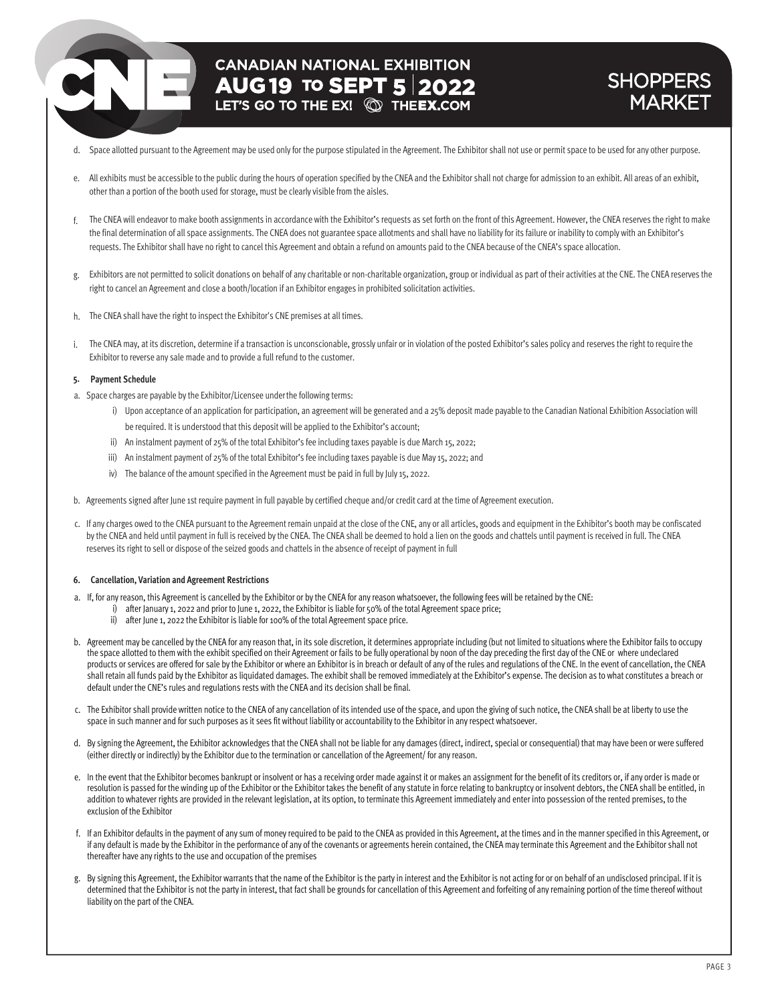# **CANADIAN NATIONAL EXHIBITION AUG 19 TO SEPT 5 2022**

### **SHOPPERS** MARKET

- d. Space allotted pursuant to the Agreement may be used only for the purpose stipulated in the Agreement. The Exhibitor shall not use or permit space to be used for any other purpose.
- e. All exhibits must be accessible to the public during the hours of operation specified by the CNEA and the Exhibitor shall not charge for admission to an exhibit. All areas of an exhibit, other than a portion of the booth used for storage, must be clearly visible from the aisles.
- f. The CNEA will endeavor to make booth assignments in accordance with the Exhibitor's requests as set forth on the front of this Agreement. However, the CNEA reserves the right to make the final determination of all space assignments. The CNEA does not guarantee space allotments and shall have no liability for its failure or inability to comply with an Exhibitor's requests. The Exhibitor shall have no right to cancel this Agreement and obtain a refund on amounts paid to the CNEA because of the CNEA's space allocation.
- g. Exhibitors are not permitted to solicit donations on behalf of any charitable or non-charitable organization, group or individual as part of their activities at the CNE. The CNEA reserves the right to cancel an Agreement and close a booth/location if an Exhibitor engages in prohibited solicitation activities.
- h. The CNEA shall have the right to inspect the Exhibitor's CNE premises at all times.
- i. The CNEA may, at its discretion, determine if a transaction is unconscionable, grossly unfair or in violation of the posted Exhibitor's sales policy and reserves the right to require the Exhibitor to reverse any sale made and to provide a full refund to the customer.

#### **5. Payment Schedule**

- a. Space charges are payable by the Exhibitor/Licensee underthe following terms:
	- i) Upon acceptance of an application for participation, an agreement will be generated and a 25% deposit made payable to the Canadian National Exhibition Association will be required. It is understood that this deposit will be applied to the Exhibitor's account;
	- ii) An instalment payment of 25% of the total Exhibitor's fee including taxes payable is due March 15, 2022;
	- iii) An instalment payment of 25% of the total Exhibitor's fee including taxes payable is due May 15, 2022; and
	- iv) The balance of the amount specified in the Agreement must be paid in full by July 15, 2022.
- b. Agreements signed after June 1st require payment in full payable by certified cheque and/or credit card at the time of Agreement execution.
- c. If any charges owed to the CNEA pursuant to the Agreement remain unpaid at the close of the CNE, any or all articles, goods and equipment in the Exhibitor's booth may be confiscated by the CNEA and held until payment in full is received by the CNEA. The CNEA shall be deemed to hold a lien on the goods and chattels until payment is received in full. The CNEA reserves its right to sell or dispose of the seized goods and chattels in the absence of receipt of payment in full

#### **6. Cancellation, Variation and Agreement Restrictions**

- a. If, for any reason, this Agreement is cancelled by the Exhibitor or by the CNEA for any reason whatsoever, the following fees will be retained by the CNE:
	- i) after January 1, 2022 and prior to June 1, 2022, the Exhibitor is liable for 50% of the total Agreement space price;
		- ii) after June 1, 2022 the Exhibitor is liable for 100% of the total Agreement space price.
- b. Agreement may be cancelled by the CNEA for any reason that, in its sole discretion, it determines appropriate including (but not limited to situations where the Exhibitor fails to occupy the space allotted to them with the exhibit specified on their Agreement or fails to be fully operational by noon of the day preceding the first day of the CNE or where undeclared products or services are offered for sale by the Exhibitor or where an Exhibitor is in breach or default of any of the rules and regulations of the CNE. In the event of cancellation, the CNEA shall retain all funds paid by the Exhibitor as liquidated damages. The exhibit shall be removed immediately at the Exhibitor's expense. The decision as to what constitutes a breach or default under the CNE's rules and regulations rests with the CNEA and its decision shall be final.
- c. The Exhibitor shall provide written notice to the CNEA of any cancellation of its intended use of the space, and upon the giving of such notice, the CNEA shall be at liberty to use the space in such manner and for such purposes as it sees fit without liability or accountability to the Exhibitor in any respect whatsoever.
- d. By signing the Agreement, the Exhibitor acknowledges that the CNEA shall not be liable for any damages (direct, indirect, special or consequential) that may have been or were suffered (either directly or indirectly) by the Exhibitor due to the termination or cancellation of the Agreement/ for any reason.
- e. In the event that the Exhibitor becomes bankrupt or insolvent or has a receiving order made against it or makes an assignment for the benefit of its creditors or, if any order is made or resolution is passed for the winding up of the Exhibitor or the Exhibitor takes the benefit of any statute in force relating to bankruptcy or insolvent debtors, the CNEA shall be entitled, in addition to whatever rights are provided in the relevant legislation, at its option, to terminate this Agreement immediately and enter into possession of the rented premises, to the exclusion of the Exhibitor
- f. If an Exhibitor defaults in the payment of any sum of money required to be paid to the CNEA as provided in this Agreement, at the times and in the manner specified in this Agreement, or if any default is made by the Exhibitor in the performance of any of the covenants or agreements herein contained, the CNEA may terminate this Agreement and the Exhibitor shall not thereafter have any rights to the use and occupation of the premises
- g. By signing this Agreement, the Exhibitor warrants that the name of the Exhibitor is the party in interest and the Exhibitor is not acting for or on behalf of an undisclosed principal. If it is determined that the Exhibitor is not the party in interest, that fact shall be grounds for cancellation of this Agreement and forfeiting of any remaining portion of the time thereof without liability on the part of the CNEA.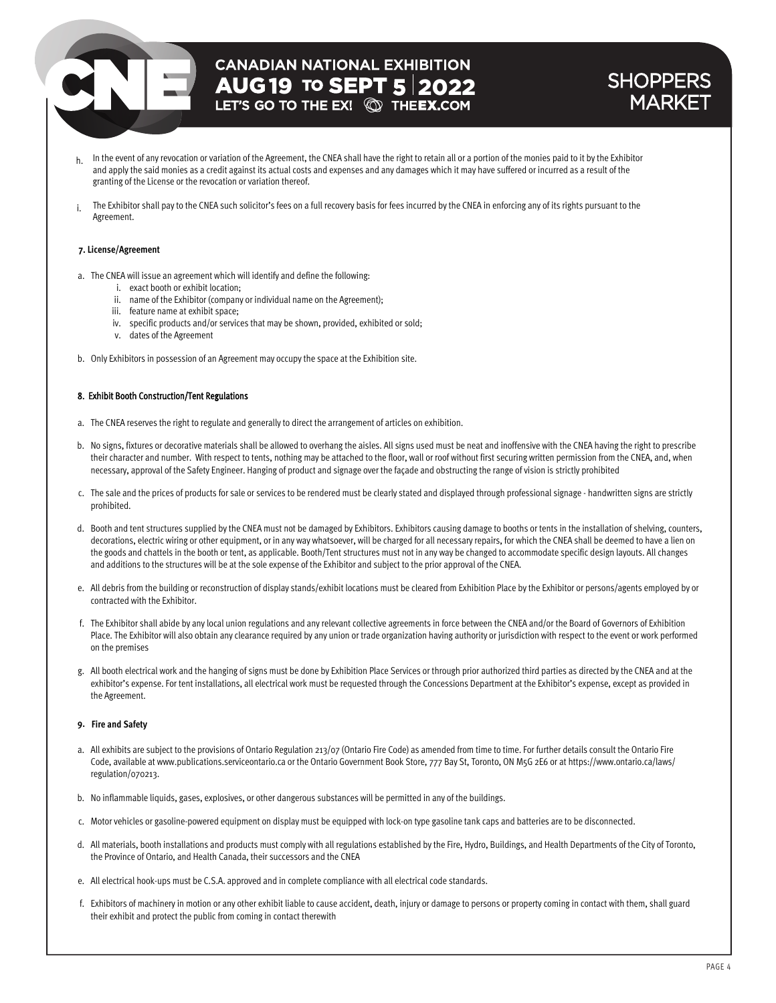## **CANADIAN NATIONAL EXHIBITION AUG 19 TO SEPT 5 2022**<br>LET'S GO TO THE EX! **QD THEEX.COM**

### **SHOPPERS** MARKET

- h. In the event of any revocation or variation of the Agreement, the CNEA shall have the right to retain all or a portion of the monies paid to it by the Exhibitor and apply the said monies as a credit against its actual costs and expenses and any damages which it may have suffered or incurred as a result of the granting of the License or the revocation or variation thereof.
- i. The Exhibitor shall pay to the CNEA such solicitor's fees on a full recovery basis for fees incurred by the CNEA in enforcing any of its rights pursuant to the Agreement.

#### **7. License/Agreement**

- a. The CNEA will issue an agreement which will identify and define the following:
	- i. exact booth or exhibit location;
	- ii. name of the Exhibitor (company or individual name on the Agreement);
	- iii. feature name at exhibit space;
	- iv. specific products and/or services that may be shown, provided, exhibited or sold;
	- v. dates of the Agreement
- b. Only Exhibitors in possession of an Agreement may occupy the space at the Exhibition site.

#### 8. Exhibit Booth Construction/Tent Regulations

- a. The CNEA reserves the right to regulate and generally to direct the arrangement of articles on exhibition.
- b. No signs, fixtures or decorative materials shall be allowed to overhang the aisles. All signs used must be neat and inoffensive with the CNEA having the right to prescribe their character and number. With respect to tents, nothing may be attached to the floor, wall or roof without first securing written permission from the CNEA, and, when necessary, approval of the Safety Engineer. Hanging of product and signage over the façade and obstructing the range of vision is strictly prohibited
- c. The sale and the prices of products for sale or services to be rendered must be clearly stated and displayed through professional signage handwritten signs are strictly prohibited.
- d. Booth and tent structures supplied by the CNEA must not be damaged by Exhibitors. Exhibitors causing damage to booths or tents in the installation of shelving, counters, decorations, electric wiring or other equipment, or in any way whatsoever, will be charged for all necessary repairs, for which the CNEA shall be deemed to have a lien on the goods and chattels in the booth or tent, as applicable. Booth/Tent structures must not in any way be changed to accommodate specific design layouts. All changes and additions to the structures will be at the sole expense of the Exhibitor and subject to the prior approval of the CNEA.
- e. All debris from the building or reconstruction of display stands/exhibit locations must be cleared from Exhibition Place by the Exhibitor or persons/agents employed by or contracted with the Exhibitor.
- f. The Exhibitor shall abide by any local union regulations and any relevant collective agreements in force between the CNEA and/or the Board of Governors of Exhibition Place. The Exhibitorwill also obtain any clearance required by any union or trade organization having authority or jurisdiction with respect to the event or work performed on the premises
- g. All booth electrical work and the hanging of signs must be done by Exhibition Place Services or through prior authorized third parties as directed by the CNEA and at the exhibitor's expense. For tent installations, all electrical work must be requested through the Concessions Department at the Exhibitor's expense, except as provided in the Agreement.

#### **9. Fire and Safety**

- a. All exhibits are subject to the provisions of Ontario Regulation 213/07 (Ontario Fire Code) as amended from time to time. For further details consult the Ontario Fire Code, available at www.publications.serviceontario.ca or the Ontario Government Book Store, 777 Bay St, Toronto, ON M5G 2E6 or at https://www.ontario.ca/laws/ regulation/070213.
- b. No inflammable liquids, gases, explosives, or other dangerous substances will be permitted in any of the buildings.
- c. Motor vehicles or gasoline-powered equipment on display must be equipped with lock-on type gasoline tank caps and batteries are to be disconnected.
- d. All materials, booth installations and products must comply with all regulations established by the Fire, Hydro, Buildings, and Health Departments of the City of Toronto, the Province of Ontario, and Health Canada, their successors and the CNEA
- e. All electrical hook-ups must be C.S.A. approved and in complete compliance with all electrical code standards.
- f. Exhibitors of machinery in motion or any other exhibit liable to cause accident, death, injury or damage to persons or property coming in contact with them, shall guard their exhibit and protect the public from coming in contact therewith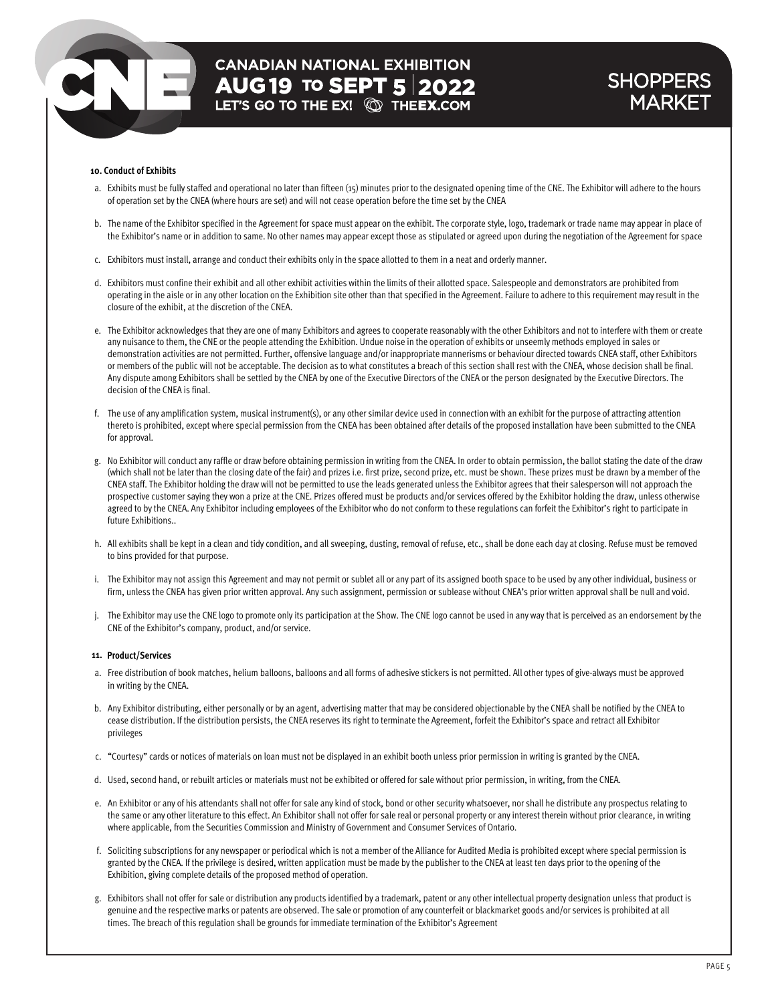# **CANADIAN NATIONAL EXHIBITION AUG 19 TO SEPT 5 2022**<br>LET'S GO TO THE EX! **@ THEEX.COM**

### **SHOPPERS** MARKET

#### **10. Conduct of Exhibits**

- a. Exhibits must be fully staffed and operational no later than fifteen (15) minutes prior to the designated opening time of the CNE. The Exhibitor will adhere to the hours of operation set by the CNEA (where hours are set) and will not cease operation before the time set by the CNEA
- b. The name of the Exhibitor specified in the Agreement for space must appear on the exhibit. The corporate style, logo, trademark or trade name may appear in place of the Exhibitor's name or in addition to same. No other names may appear except those as stipulated or agreed upon during the negotiation of the Agreement for space
- c. Exhibitors must install, arrange and conduct their exhibits only in the space allotted to them in a neat and orderly manner.
- d. Exhibitors must confine their exhibit and all other exhibit activities within the limits of their allotted space. Salespeople and demonstrators are prohibited from operating in the aisle or in any other location on the Exhibition site other than that specified in the Agreement. Failure to adhere to this requirement may result in the closure of the exhibit, at the discretion of the CNEA.
- e. The Exhibitor acknowledges that they are one of many Exhibitors and agrees to cooperate reasonably with the other Exhibitors and not to interfere with them or create any nuisance to them, the CNE or the people attending the Exhibition. Undue noise in the operation of exhibits or unseemly methods employed in sales or demonstration activities are not permitted. Further, offensive language and/or inappropriate mannerisms or behaviour directed towards CNEA staff, other Exhibitors or members of the public will not be acceptable. The decision as to what constitutes a breach of this section shall rest with the CNEA, whose decision shall be final. Any dispute among Exhibitors shall be settled by the CNEA by one of the Executive Directors of the CNEA or the person designated by the Executive Directors. The decision of the CNEA is final.
- f. The use of any amplification system, musical instrument(s), or any other similar device used in connection with an exhibit for the purpose of attracting attention thereto is prohibited, except where special permission from the CNEA has been obtained after details of the proposed installation have been submitted to the CNEA for approval.
- g. No Exhibitor will conduct any raffle or draw before obtaining permission in writing from the CNEA. In order to obtain permission, the ballot stating the date of the draw (which shall not be later than the closing date of the fair) and prizes i.e. first prize, second prize, etc. must be shown. These prizes must be drawn by a member of the CNEA staff. The Exhibitor holding the draw will not be permitted to use the leads generated unless the Exhibitor agrees that their salesperson will not approach the prospective customer saying they won a prize at the CNE. Prizes offered must be products and/or services offered by the Exhibitor holding the draw, unless otherwise agreed to by the CNEA. Any Exhibitor including employees of the Exhibitor who do not conform to these regulations can forfeit the Exhibitor's right to participate in future Exhibitions..
- h. All exhibits shall be kept in a clean and tidy condition, and all sweeping, dusting, removal of refuse, etc., shall be done each day at closing. Refuse must be removed to bins provided for that purpose.
- i. The Exhibitor may not assign this Agreement and may not permit or sublet all or any part of its assigned booth space to be used by any other individual, business or firm, unless the CNEA has given prior written approval. Any such assignment, permission or sublease without CNEA's prior written approval shall be null and void.
- j. The Exhibitor may use the CNE logo to promote only its participation at the Show. The CNE logo cannot be used in any way that is perceived as an endorsement by the CNE of the Exhibitor's company, product, and/or service.

#### **11. Product/Services**

- a. Free distribution of book matches, helium balloons, balloons and all forms of adhesive stickers is not permitted. All other types of give-always must be approved in writing by the CNEA.
- b. Any Exhibitor distributing, either personally or by an agent, advertising matter that may be considered objectionable by the CNEA shall be notified by the CNEA to cease distribution. If the distribution persists, the CNEA reserves its right to terminate the Agreement, forfeit the Exhibitor's space and retract all Exhibitor privileges
- c. "Courtesy" cards or notices of materials on loan must not be displayed in an exhibit booth unless prior permission in writing is granted by the CNEA.
- d. Used, second hand, or rebuilt articles or materials must not be exhibited or offered for sale without prior permission, in writing, from the CNEA.
- e. An Exhibitor or any of his attendants shall not offer for sale any kind of stock, bond or other security whatsoever, nor shall he distribute any prospectus relating to the same or any other literature to this effect. An Exhibitor shall not offer for sale real or personal property or any interest therein without prior clearance, in writing where applicable, from the Securities Commission and Ministry of Government and Consumer Services of Ontario.
- f. Soliciting subscriptions for any newspaper or periodical which is not a member of the Alliance for Audited Media is prohibited except where special permission is granted by the CNEA. If the privilege is desired, written application must be made by the publisher to the CNEA at least ten days prior to the opening of the Exhibition, giving complete details of the proposed method of operation.
- g. Exhibitors shall not offer for sale or distribution any products identified by a trademark, patent or any other intellectual property designation unless that product is genuine and the respective marks or patents are observed. The sale or promotion of any counterfeit or blackmarket goods and/or services is prohibited at all times. The breach of this regulation shall be grounds for immediate termination of the Exhibitor's Agreement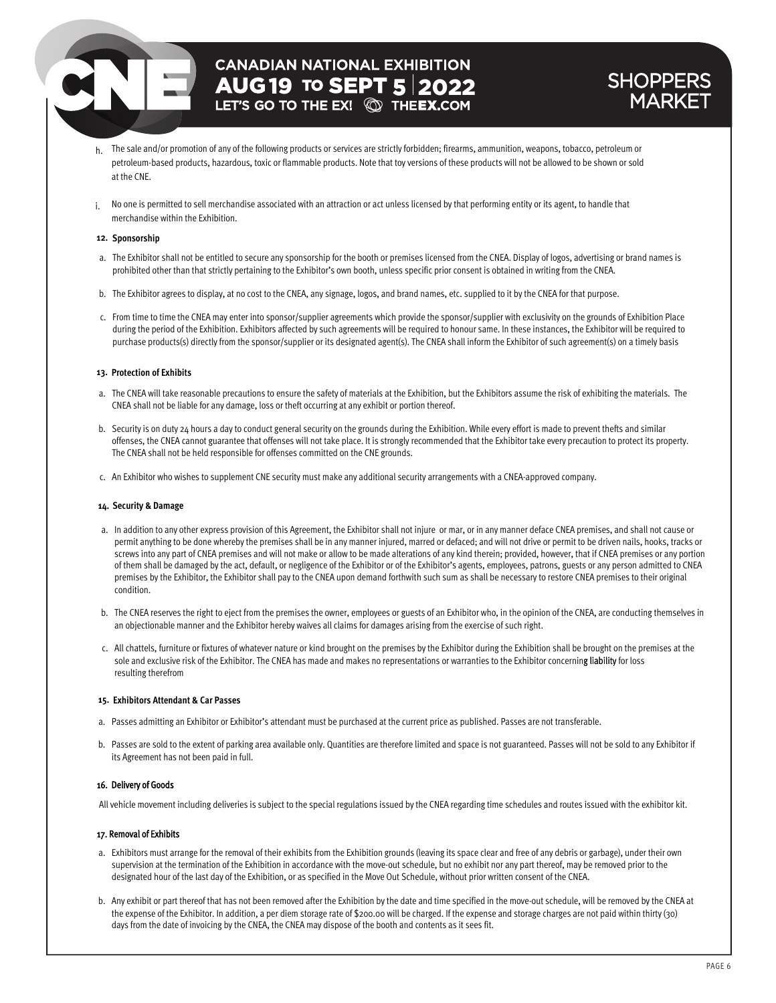### **CANADIAN NATIONAL EXHIBITION AUG 19 TO SEPT 5 2022**

### **SHOPPER** MARKET

- h. The sale and/or promotion of any of the following products or services are strictly forbidden; firearms, ammunition, weapons, tobacco, petroleum or petroleum-based products, hazardous, toxic or flammable products. Note that toy versions of these products will not be allowed to be shown or sold at the CNE.
- i. No one is permitted to sell merchandise associated with an attraction or act unless licensed by that performing entity or its agent, to handle that merchandise within the Exhibition.

#### **12. Sponsorship**

- a. The Exhibitor shall not be entitled to secure any sponsorship for the booth or premises licensed from the CNEA. Display of logos, advertising or brand names is prohibited other than that strictly pertaining to the Exhibitor's own booth, unless specific prior consent is obtained in writing from the CNEA.
- b. The Exhibitor agrees to display, at no cost to the CNEA, any signage, logos, and brand names, etc. supplied to it by the CNEA for that purpose.
- c. From time to time the CNEA may enter into sponsor/supplier agreements which provide the sponsor/supplier with exclusivity on the grounds of Exhibition Place during the period of the Exhibition. Exhibitors affected by such agreements will be required to honour same. In these instances, the Exhibitor will be required to purchase products(s) directly from the sponsor/supplier or its designated agent(s). The CNEA shall inform the Exhibitor of such agreement(s) on a timely basis

#### **13. Protection of Exhibits**

- a. The CNEA will take reasonable precautions to ensure the safety of materials at the Exhibition, but the Exhibitors assume the risk of exhibiting the materials. The CNEA shall not be liable for any damage, loss or theft occurring at any exhibit or portion thereof.
- b. Security is on duty 24 hours a day to conduct general security on the grounds during the Exhibition. While every effort is made to prevent thefts and similar offenses, the CNEA cannot guarantee that offenses will not take place. It is strongly recommended that the Exhibitor take every precaution to protect its property. The CNEA shall not be held responsible for offenses committed on the CNE grounds.
- c. An Exhibitor who wishes to supplement CNE security must make any additional security arrangements with a CNEA-approved company.

#### **14. Security & Damage**

- a. In addition to any other express provision of this Agreement, the Exhibitor shall not injure or mar, or in any manner deface CNEA premises, and shall not cause or permit anything to be done whereby the premises shall be in any manner injured, marred or defaced; and will not drive or permit to be driven nails, hooks, tracks or screws into any part of CNEA premises and will not make or allow to be made alterations of any kind therein; provided, however, that if CNEA premises or any portion of them shall be damaged by the act, default, or negligence of the Exhibitor or of the Exhibitor's agents, employees, patrons, guests or any person admitted to CNEA premises by the Exhibitor, the Exhibitor shall pay to the CNEA upon demand forthwith such sum as shall be necessary to restore CNEA premises to their original condition.
- b. The CNEA reserves the right to eject from the premises the owner, employees or guests of an Exhibitor who, in the opinion of the CNEA, are conducting themselves in an objectionable manner and the Exhibitor hereby waives all claims for damages arising from the exercise of such right.
- c. All chattels, furniture or fixtures of whatever nature or kind brought on the premises by the Exhibitor during the Exhibition shall be brought on the premises at the sole and exclusive risk of the Exhibitor. The CNEA has made and makes no representations or warranties to the Exhibitor concerning liability for loss resulting therefrom

#### **15. Exhibitors Attendant & Car Passes**

- a. Passes admitting an Exhibitor or Exhibitor's attendant must be purchased at the current price as published. Passes are not transferable.
- b. Passes are sold to the extent of parking area available only. Quantities are therefore limited and space is not guaranteed. Passes will not be sold to any Exhibitor if its Agreement has not been paid in full.

#### 16. Delivery of Goods

All vehicle movement including deliveries is subject to the special regulations issued by the CNEA regarding time schedules and routes issued with the exhibitor kit.

#### 17. Removal of Exhibits

- a. Exhibitors must arrange for the removal of their exhibits from the Exhibition grounds (leaving its space clear and free of any debris or garbage), under their own supervision at the termination of the Exhibition in accordance with the move-out schedule, but no exhibit nor any part thereof, may be removed prior to the designated hour of the last day of the Exhibition, or as specified in the Move Out Schedule, without prior written consent of the CNEA.
- b. Any exhibit or part thereof that has not been removed after the Exhibition by the date and time specified in the move-out schedule, will be removed by the CNEA at the expense of the Exhibitor. In addition, a per diem storage rate of \$200.00 will be charged. If the expense and storage charges are not paid within thirty (30) days from the date of invoicing by the CNEA, the CNEA may dispose of the booth and contents as it sees fit.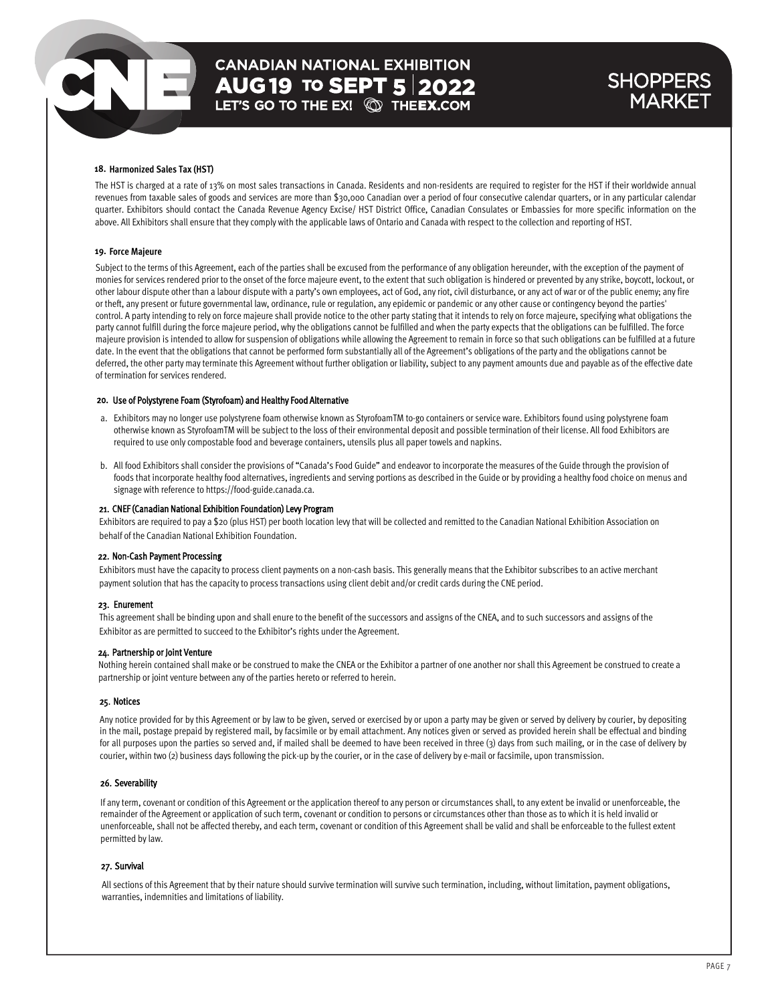## **CANADIAN NATIONAL EXHIBITION AUG 19 TO SEPT 5 2022**<br>LET'S GO TO THE EX! **QD THEEX.COM**

### **SHOPPERS** MARKET

#### **18. Harmonized Sales Tax (HST)**

The HST is charged at a rate of 13% on most sales transactions in Canada. Residents and non-residents are required to register for the HST if their worldwide annual revenues from taxable sales of goods and services are more than \$30,000 Canadian over a period of four consecutive calendar quarters, or in any particular calendar quarter. Exhibitors should contact the Canada Revenue Agency Excise/ HST District Office, Canadian Consulates or Embassies for more specific information on the above. All Exhibitors shall ensure that they comply with the applicable laws of Ontario and Canada with respect to the collection and reporting of HST.

#### **19. Force Majeure**

Subject to the terms of this Agreement, each of the parties shall be excused from the performance of any obligation hereunder, with the exception of the payment of monies for services rendered prior to the onset of the force majeure event, to the extent that such obligation is hindered or prevented by any strike, boycott, lockout, or other labour dispute other than a labour dispute with a party's own employees, act of God, any riot, civil disturbance, or any act of war or of the public enemy; any fire or theft, any present or future governmental law, ordinance, rule or regulation, any epidemic or pandemic or any other cause or contingency beyond the parties' control. A party intending to rely on force majeure shall provide notice to the other party stating that it intends to rely on force majeure, specifying what obligations the party cannot fulfill during the force majeure period, why the obligations cannot be fulfilled and when the party expects that the obligations can be fulfilled. The force majeure provision is intended to allow for suspension of obligations while allowing the Agreement to remain in force so that such obligations can be fulfilled at a future date. In the event that the obligations that cannot be performed form substantially all of the Agreement's obligations of the party and the obligations cannot be deferred, the other party may terminate this Agreement without further obligation or liability, subject to any payment amounts due and payable as of the effective date of termination for services rendered.

#### 20. Use of Polystyrene Foam (Styrofoam) and Healthy Food Alternative

- a. Exhibitors may no longer use polystyrene foam otherwise known as StyrofoamTM to-go containers or service ware. Exhibitors found using polystyrene foam otherwise known as StyrofoamTM will be subject to the loss of their environmental deposit and possible termination of their license. All food Exhibitors are required to use only compostable food and beverage containers, utensils plus all paper towels and napkins.
- b. All food Exhibitors shall consider the provisions of "Canada's Food Guide" and endeavor to incorporate the measures of the Guide through the provision of foods that incorporate healthy food alternatives, ingredients and serving portions as described in the Guide or by providing a healthy food choice on menus and signage with reference to https://food-guide.canada.ca.

#### 21. CNEF (Canadian National Exhibition Foundation) Levy Program

Exhibitors are required to pay a \$20 (plus HST) per booth location levy that will be collected and remitted to the Canadian National Exhibition Association on behalf of the Canadian National Exhibition Foundation.

#### 22. Non-Cash Payment Processing

Exhibitors must have the capacity to process client payments on a non-cash basis. This generally means that the Exhibitor subscribes to an active merchant payment solution that has the capacity to process transactions using client debit and/or credit cards during the CNE period.

#### 23. Enurement

This agreement shall be binding upon and shall enure to the benefit of the successors and assigns of the CNEA, and to such successors and assigns of the Exhibitor as are permitted to succeed to the Exhibitor's rights under the Agreement.

#### 24. Partnership or Joint Venture

Nothing herein contained shall make or be construed to make the CNEA or the Exhibitor a partner of one another nor shall this Agreement be construed to create a partnership or joint venture between any of the parties hereto or referred to herein.

#### 25. Notices

Any notice provided for by this Agreement or by law to be given, served or exercised by or upon a party may be given or served by delivery by courier, by depositing in the mail, postage prepaid by registered mail, by facsimile or by email attachment. Any notices given or served as provided herein shall be effectual and binding for all purposes upon the parties so served and, if mailed shall be deemed to have been received in three (3) days from such mailing, or in the case of delivery by courier, within two (2) business days following the pick-up by the courier, or in the case of delivery by e-mail or facsimile, upon transmission.

#### 26. Severability

If any term, covenant or condition of this Agreement or the application thereof to any person or circumstances shall, to any extent be invalid or unenforceable, the remainder of the Agreement or application ofsuch term, covenant or condition to persons or circumstances other than those as to which it is held invalid or unenforceable, shall not be affected thereby, and each term, covenant or condition of this Agreement shall be valid and shall be enforceable to the fullest extent permitted by law.

#### 27. Survival

All sections of this Agreement that by their nature should survive termination will survive such termination, including, without limitation, payment obligations, warranties, indemnities and limitations of liability.